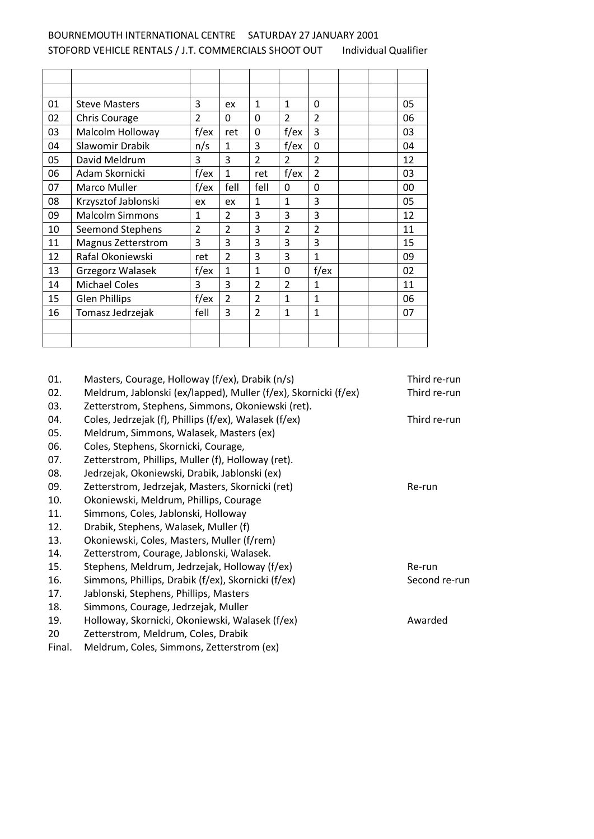## BOURNEMOUTH INTERNATIONAL CENTRE SATURDAY 27 JANUARY 2001 STOFORD VEHICLE RENTALS / J.T. COMMERCIALS SHOOT OUT Individual Qualifier

| 01 | <b>Steve Masters</b>   | 3              | ex                      | $\mathbf{1}$   | $\mathbf{1}$   | $\Omega$       |  | 05 |
|----|------------------------|----------------|-------------------------|----------------|----------------|----------------|--|----|
| 02 | <b>Chris Courage</b>   | $\overline{2}$ | 0                       | $\Omega$       | $\overline{2}$ | $\overline{2}$ |  | 06 |
| 03 | Malcolm Holloway       | $f$ /ex        | ret                     | 0              | $f$ /ex        | 3              |  | 03 |
| 04 | Slawomir Drabik        | n/s            | 1                       | 3              | $f$ /ex        | $\mathbf 0$    |  | 04 |
| 05 | David Meldrum          | 3              | 3                       | 2              | 2              | $\overline{2}$ |  | 12 |
| 06 | Adam Skornicki         | $f$ /ex        | $\mathbf{1}$            | ret            | $f$ /ex        | $\overline{2}$ |  | 03 |
| 07 | Marco Muller           | $f$ /ex        | fell                    | fell           | 0              | $\mathbf 0$    |  | 00 |
| 08 | Krzysztof Jablonski    | ex             | ex                      | $\mathbf{1}$   | 1              | 3              |  | 05 |
| 09 | <b>Malcolm Simmons</b> | $\mathbf{1}$   | $\overline{\mathbf{c}}$ | 3              | 3              | 3              |  | 12 |
| 10 | Seemond Stephens       | $\overline{2}$ | $\overline{2}$          | 3              | 2              | $\overline{2}$ |  | 11 |
| 11 | Magnus Zetterstrom     | 3              | 3                       | 3              | 3              | 3              |  | 15 |
| 12 | Rafal Okoniewski       | ret            | $\overline{\mathbf{c}}$ | 3              | 3              | $\mathbf{1}$   |  | 09 |
| 13 | Grzegorz Walasek       | $f$ /ex        | $\mathbf{1}$            | 1              | $\Omega$       | $f$ /ex        |  | 02 |
| 14 | <b>Michael Coles</b>   | 3              | 3                       | 2              | 2              | $\mathbf{1}$   |  | 11 |
| 15 | <b>Glen Phillips</b>   | $f$ /ex        | $\overline{2}$          | $\overline{2}$ | $\mathbf{1}$   | $\mathbf{1}$   |  | 06 |
| 16 | Tomasz Jedrzejak       | fell           | 3                       | 2              | $\mathbf{1}$   | 1              |  | 07 |
|    |                        |                |                         |                |                |                |  |    |
|    |                        |                |                         |                |                |                |  |    |

| 01.    | Masters, Courage, Holloway (f/ex), Drabik (n/s)                 | Third re-run  |
|--------|-----------------------------------------------------------------|---------------|
| 02.    | Meldrum, Jablonski (ex/lapped), Muller (f/ex), Skornicki (f/ex) | Third re-run  |
| 03.    | Zetterstrom, Stephens, Simmons, Okoniewski (ret).               |               |
| 04.    | Coles, Jedrzejak (f), Phillips (f/ex), Walasek (f/ex)           | Third re-run  |
| 05.    | Meldrum, Simmons, Walasek, Masters (ex)                         |               |
| 06.    | Coles, Stephens, Skornicki, Courage,                            |               |
| 07.    | Zetterstrom, Phillips, Muller (f), Holloway (ret).              |               |
| 08.    | Jedrzejak, Okoniewski, Drabik, Jablonski (ex)                   |               |
| 09.    | Zetterstrom, Jedrzejak, Masters, Skornicki (ret)                | Re-run        |
| 10.    | Okoniewski, Meldrum, Phillips, Courage                          |               |
| 11.    | Simmons, Coles, Jablonski, Holloway                             |               |
| 12.    | Drabik, Stephens, Walasek, Muller (f)                           |               |
| 13.    | Okoniewski, Coles, Masters, Muller (f/rem)                      |               |
| 14.    | Zetterstrom, Courage, Jablonski, Walasek.                       |               |
| 15.    | Stephens, Meldrum, Jedrzejak, Holloway (f/ex)                   | Re-run        |
| 16.    | Simmons, Phillips, Drabik (f/ex), Skornicki (f/ex)              | Second re-run |
| 17.    | Jablonski, Stephens, Phillips, Masters                          |               |
| 18.    | Simmons, Courage, Jedrzejak, Muller                             |               |
| 19.    | Holloway, Skornicki, Okoniewski, Walasek (f/ex)                 | Awarded       |
| 20     | Zetterstrom, Meldrum, Coles, Drabik                             |               |
| Final. | Meldrum, Coles, Simmons, Zetterstrom (ex)                       |               |
|        |                                                                 |               |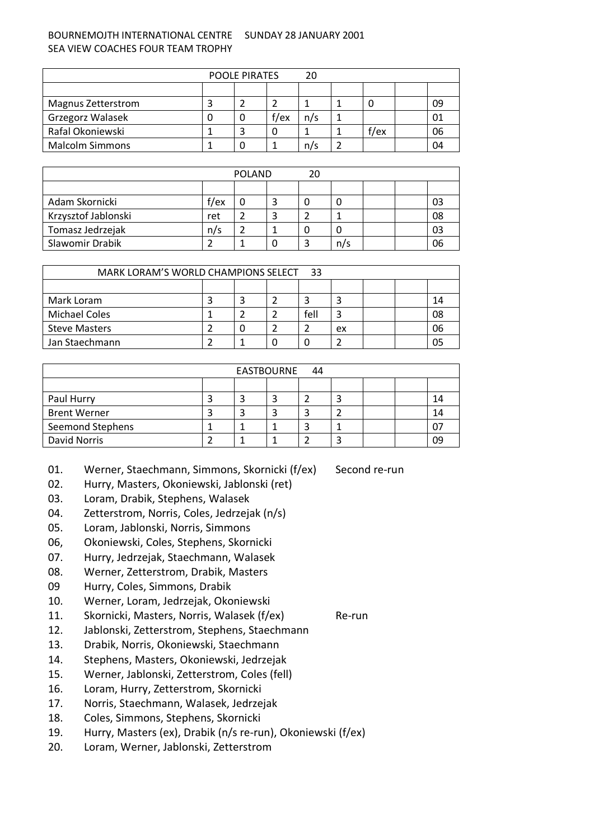## BOURNEMOJTH INTERNATIONAL CENTRE SUNDAY 28 JANUARY 2001 SEA VIEW COACHES FOUR TEAM TROPHY

| <b>POOLE PIRATES</b><br>20 |  |  |         |     |  |      |  |    |
|----------------------------|--|--|---------|-----|--|------|--|----|
|                            |  |  |         |     |  |      |  |    |
| Magnus Zetterstrom         |  |  |         |     |  | U    |  | 09 |
| Grzegorz Walasek           |  |  | $f$ /ex | n/s |  |      |  | 01 |
| Rafal Okoniewski           |  |  |         |     |  | f/ex |  | 06 |
| <b>Malcolm Simmons</b>     |  |  |         | n/s |  |      |  | 04 |

| <b>POLAND</b><br>20 |         |  |  |  |     |  |  |    |
|---------------------|---------|--|--|--|-----|--|--|----|
|                     |         |  |  |  |     |  |  |    |
| Adam Skornicki      | $f$ /ex |  |  |  |     |  |  | 03 |
| Krzysztof Jablonski | ret     |  |  |  |     |  |  | 08 |
| Tomasz Jedrzejak    | n/s     |  |  |  |     |  |  | 03 |
| Slawomir Drabik     |         |  |  |  | n/s |  |  | 06 |

| MARK LORAM'S WORLD CHAMPIONS SELECT 33 |  |  |  |      |    |  |  |    |
|----------------------------------------|--|--|--|------|----|--|--|----|
|                                        |  |  |  |      |    |  |  |    |
| Mark Loram                             |  |  |  |      |    |  |  | 14 |
| <b>Michael Coles</b>                   |  |  |  | fell | ◠  |  |  | 08 |
| <b>Steve Masters</b>                   |  |  |  |      | ex |  |  | 06 |
| Jan Staechmann                         |  |  |  |      |    |  |  | 05 |

| EASTBOURNE 44           |  |  |  |  |  |  |  |    |
|-------------------------|--|--|--|--|--|--|--|----|
|                         |  |  |  |  |  |  |  |    |
| Paul Hurry              |  |  |  |  |  |  |  | 14 |
| <b>Brent Werner</b>     |  |  |  |  |  |  |  | 14 |
| <b>Seemond Stephens</b> |  |  |  |  |  |  |  |    |
| David Norris            |  |  |  |  |  |  |  | 09 |

- 01. Werner, Staechmann, Simmons, Skornicki (f/ex) Second re-run
- 02. Hurry, Masters, Okoniewski, Jablonski (ret)
- 03. Loram, Drabik, Stephens, Walasek
- 04. Zetterstrom, Norris, Coles, Jedrzejak (n/s)
- 05. Loram, Jablonski, Norris, Simmons
- 06, Okoniewski, Coles, Stephens, Skornicki
- 07. Hurry, Jedrzejak, Staechmann, Walasek
- 08. Werner, Zetterstrom, Drabik, Masters
- 09 Hurry, Coles, Simmons, Drabik
- 10. Werner, Loram, Jedrzejak, Okoniewski
- 11. Skornicki, Masters, Norris, Walasek (f/ex) Re-run
- 12. Jablonski, Zetterstrom, Stephens, Staechmann
- 13. Drabik, Norris, Okoniewski, Staechmann
- 14. Stephens, Masters, Okoniewski, Jedrzejak
- 15. Werner, Jablonski, Zetterstrom, Coles (fell)
- 16. Loram, Hurry, Zetterstrom, Skornicki
- 17. Norris, Staechmann, Walasek, Jedrzejak
- 18. Coles, Simmons, Stephens, Skornicki
- 19. Hurry, Masters (ex), Drabik (n/s re-run), Okoniewski (f/ex)
- 20. Loram, Werner, Jablonski, Zetterstrom